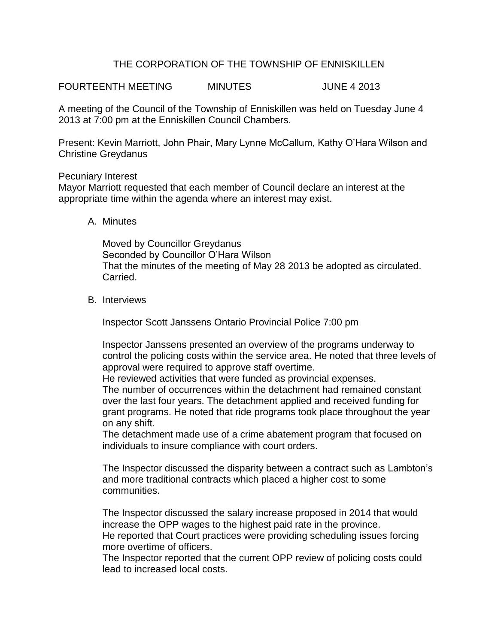# THE CORPORATION OF THE TOWNSHIP OF ENNISKILLEN

FOURTEENTH MEETING MINUTES JUNE 4 2013

A meeting of the Council of the Township of Enniskillen was held on Tuesday June 4 2013 at 7:00 pm at the Enniskillen Council Chambers.

Present: Kevin Marriott, John Phair, Mary Lynne McCallum, Kathy O'Hara Wilson and Christine Greydanus

#### Pecuniary Interest

Mayor Marriott requested that each member of Council declare an interest at the appropriate time within the agenda where an interest may exist.

## A. Minutes

Moved by Councillor Greydanus Seconded by Councillor O'Hara Wilson That the minutes of the meeting of May 28 2013 be adopted as circulated. Carried.

## B. Interviews

Inspector Scott Janssens Ontario Provincial Police 7:00 pm

Inspector Janssens presented an overview of the programs underway to control the policing costs within the service area. He noted that three levels of approval were required to approve staff overtime.

He reviewed activities that were funded as provincial expenses.

The number of occurrences within the detachment had remained constant over the last four years. The detachment applied and received funding for grant programs. He noted that ride programs took place throughout the year on any shift.

The detachment made use of a crime abatement program that focused on individuals to insure compliance with court orders.

The Inspector discussed the disparity between a contract such as Lambton's and more traditional contracts which placed a higher cost to some communities.

The Inspector discussed the salary increase proposed in 2014 that would increase the OPP wages to the highest paid rate in the province.

He reported that Court practices were providing scheduling issues forcing more overtime of officers.

The Inspector reported that the current OPP review of policing costs could lead to increased local costs.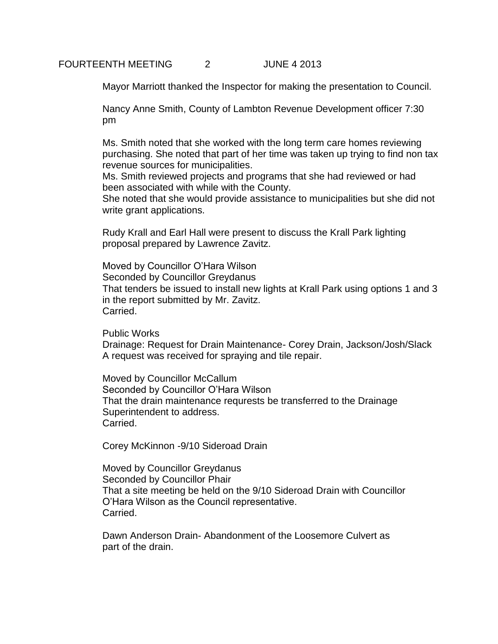#### FOURTEENTH MEETING 2 JUNE 4 2013

Mayor Marriott thanked the Inspector for making the presentation to Council.

Nancy Anne Smith, County of Lambton Revenue Development officer 7:30 pm

Ms. Smith noted that she worked with the long term care homes reviewing purchasing. She noted that part of her time was taken up trying to find non tax revenue sources for municipalities.

Ms. Smith reviewed projects and programs that she had reviewed or had been associated with while with the County.

She noted that she would provide assistance to municipalities but she did not write grant applications.

Rudy Krall and Earl Hall were present to discuss the Krall Park lighting proposal prepared by Lawrence Zavitz.

Moved by Councillor O'Hara Wilson Seconded by Councillor Greydanus That tenders be issued to install new lights at Krall Park using options 1 and 3 in the report submitted by Mr. Zavitz. Carried.

Public Works

Drainage: Request for Drain Maintenance- Corey Drain, Jackson/Josh/Slack A request was received for spraying and tile repair.

Moved by Councillor McCallum Seconded by Councillor O'Hara Wilson That the drain maintenance requrests be transferred to the Drainage Superintendent to address. Carried.

Corey McKinnon -9/10 Sideroad Drain

Moved by Councillor Greydanus Seconded by Councillor Phair That a site meeting be held on the 9/10 Sideroad Drain with Councillor O'Hara Wilson as the Council representative. Carried.

Dawn Anderson Drain- Abandonment of the Loosemore Culvert as part of the drain.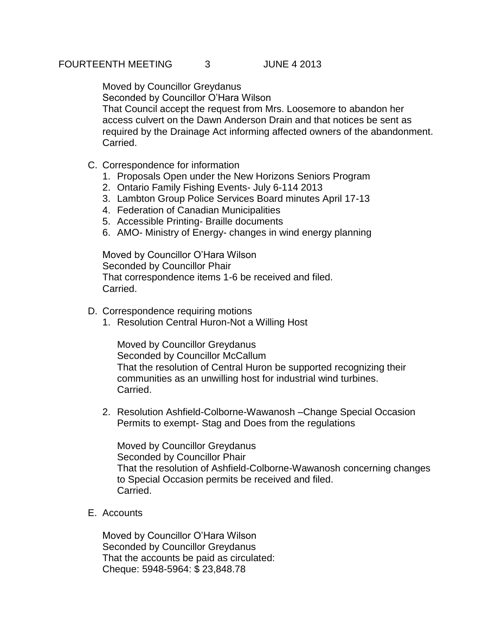Moved by Councillor Greydanus Seconded by Councillor O'Hara Wilson That Council accept the request from Mrs. Loosemore to abandon her access culvert on the Dawn Anderson Drain and that notices be sent as required by the Drainage Act informing affected owners of the abandonment. Carried.

- C. Correspondence for information
	- 1. Proposals Open under the New Horizons Seniors Program
	- 2. Ontario Family Fishing Events- July 6-114 2013
	- 3. Lambton Group Police Services Board minutes April 17-13
	- 4. Federation of Canadian Municipalities
	- 5. Accessible Printing- Braille documents
	- 6. AMO- Ministry of Energy- changes in wind energy planning

Moved by Councillor O'Hara Wilson Seconded by Councillor Phair That correspondence items 1-6 be received and filed. Carried.

- D. Correspondence requiring motions
	- 1. Resolution Central Huron-Not a Willing Host

Moved by Councillor Greydanus Seconded by Councillor McCallum That the resolution of Central Huron be supported recognizing their communities as an unwilling host for industrial wind turbines. Carried.

2. Resolution Ashfield-Colborne-Wawanosh –Change Special Occasion Permits to exempt- Stag and Does from the regulations

Moved by Councillor Greydanus Seconded by Councillor Phair That the resolution of Ashfield-Colborne-Wawanosh concerning changes to Special Occasion permits be received and filed. Carried.

E. Accounts

Moved by Councillor O'Hara Wilson Seconded by Councillor Greydanus That the accounts be paid as circulated: Cheque: 5948-5964: \$ 23,848.78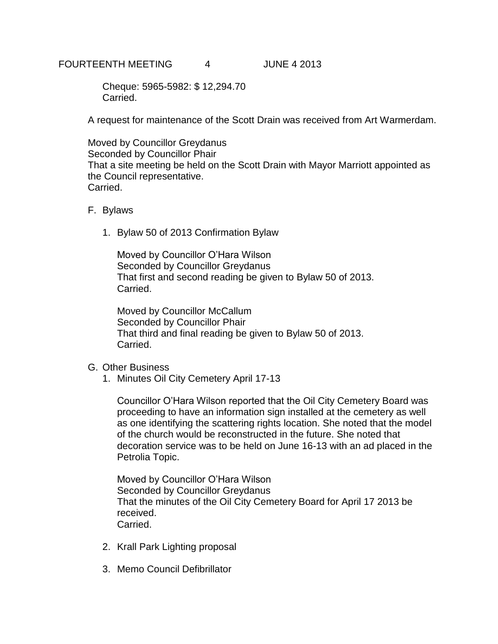## FOURTEENTH MEETING 4 JUNE 4 2013

Cheque: 5965-5982: \$ 12,294.70 Carried.

A request for maintenance of the Scott Drain was received from Art Warmerdam.

Moved by Councillor Greydanus Seconded by Councillor Phair That a site meeting be held on the Scott Drain with Mayor Marriott appointed as the Council representative. Carried.

- F. Bylaws
	- 1. Bylaw 50 of 2013 Confirmation Bylaw

Moved by Councillor O'Hara Wilson Seconded by Councillor Greydanus That first and second reading be given to Bylaw 50 of 2013. Carried.

Moved by Councillor McCallum Seconded by Councillor Phair That third and final reading be given to Bylaw 50 of 2013. Carried.

- G. Other Business
	- 1. Minutes Oil City Cemetery April 17-13

Councillor O'Hara Wilson reported that the Oil City Cemetery Board was proceeding to have an information sign installed at the cemetery as well as one identifying the scattering rights location. She noted that the model of the church would be reconstructed in the future. She noted that decoration service was to be held on June 16-13 with an ad placed in the Petrolia Topic.

Moved by Councillor O'Hara Wilson Seconded by Councillor Greydanus That the minutes of the Oil City Cemetery Board for April 17 2013 be received. Carried.

- 2. Krall Park Lighting proposal
- 3. Memo Council Defibrillator